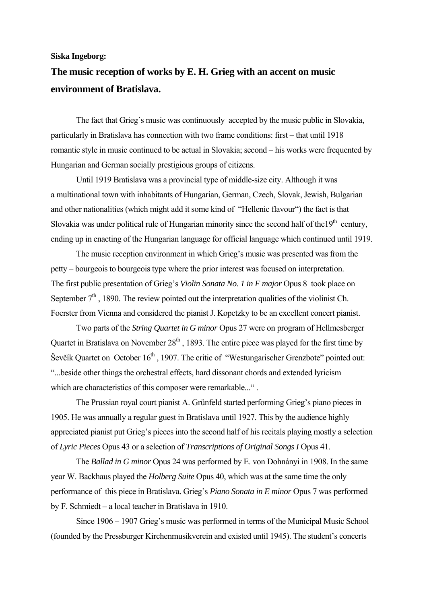**Siska Ingeborg:** 

## **The music reception of works by E. H. Grieg with an accent on music environment of Bratislava.**

The fact that Grieg´s music was continuously accepted by the music public in Slovakia, particularly in Bratislava has connection with two frame conditions: first – that until 1918 romantic style in music continued to be actual in Slovakia; second – his works were frequented by Hungarian and German socially prestigious groups of citizens.

Until 1919 Bratislava was a provincial type of middle-size city. Although it was a multinational town with inhabitants of Hungarian, German, Czech, Slovak, Jewish, Bulgarian and other nationalities (which might add it some kind of "Hellenic flavour") the fact is that Slovakia was under political rule of Hungarian minority since the second half of the  $19<sup>th</sup>$  century, ending up in enacting of the Hungarian language for official language which continued until 1919.

The music reception environment in which Grieg's music was presented was from the petty – bourgeois to bourgeois type where the prior interest was focused on interpretation. The first public presentation of Grieg's *Violin Sonata No. 1 in F major* Opus 8 took place on September  $7<sup>th</sup>$ , 1890. The review pointed out the interpretation qualities of the violinist Ch. Foerster from Vienna and considered the pianist J. Kopetzky to be an excellent concert pianist.

Two parts of the *String Quartet in G minor* Opus 27 were on program of Hellmesberger Quartet in Bratislava on November  $28<sup>th</sup>$ , 1893. The entire piece was played for the first time by Ševčík Quartet on October  $16<sup>th</sup>$ , 1907. The critic of "Westungarischer Grenzbote" pointed out: "...beside other things the orchestral effects, hard dissonant chords and extended lyricism which are characteristics of this composer were remarkable...".

The Prussian royal court pianist A. Grünfeld started performing Grieg's piano pieces in 1905. He was annually a regular guest in Bratislava until 1927. This by the audience highly appreciated pianist put Grieg's pieces into the second half of his recitals playing mostly a selection of *Lyric Pieces* Opus 43 or a selection of *Transcriptions of Original Songs I* Opus 41.

The *Ballad in G minor* Opus 24 was performed by E. von Dohnányi in 1908. In the same year W. Backhaus played the *Holberg Suite* Opus 40, which was at the same time the only performance of this piece in Bratislava. Grieg's *Piano Sonata in E minor* Opus 7 was performed by F. Schmiedt – a local teacher in Bratislava in 1910.

Since 1906 – 1907 Grieg's music was performed in terms of the Municipal Music School (founded by the Pressburger Kirchenmusikverein and existed until 1945). The student's concerts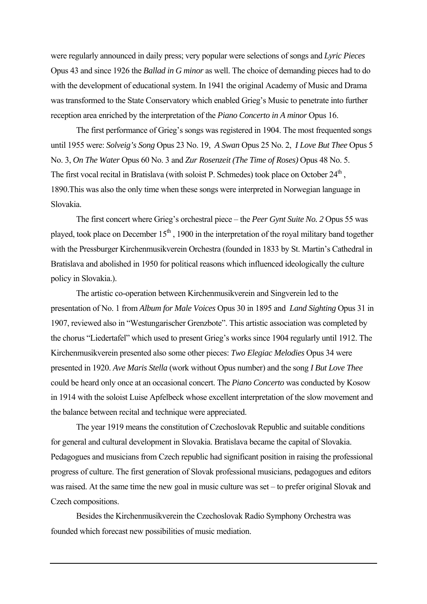were regularly announced in daily press; very popular were selections of songs and *Lyric Pieces*  Opus 43 and since 1926 the *Ballad in G minor* as well. The choice of demanding pieces had to do with the development of educational system. In 1941 the original Academy of Music and Drama was transformed to the State Conservatory which enabled Grieg's Music to penetrate into further reception area enriched by the interpretation of the *Piano Concerto in A minor* Opus 16.

The first performance of Grieg's songs was registered in 1904. The most frequented songs until 1955 were: *Solveig's Song* Opus 23 No. 19, *A Swan* Opus 25 No. 2, *I Love But Thee* Opus 5 No. 3, *On The Water* Opus 60 No. 3 and *Zur Rosenzeit (The Time of Roses)* Opus 48 No. 5. The first vocal recital in Bratislava (with soloist P. Schmedes) took place on October  $24<sup>th</sup>$ , 1890.This was also the only time when these songs were interpreted in Norwegian language in Slovakia.

The first concert where Grieg's orchestral piece – the *Peer Gynt Suite No. 2* Opus 55 was played, took place on December  $15<sup>th</sup>$ , 1900 in the interpretation of the royal military band together with the Pressburger Kirchenmusikverein Orchestra (founded in 1833 by St. Martin's Cathedral in Bratislava and abolished in 1950 for political reasons which influenced ideologically the culture policy in Slovakia.).

The artistic co-operation between Kirchenmusikverein and Singverein led to the presentation of No. 1 from *Album for Male Voices* Opus 30 in 1895 and *Land Sighting* Opus 31 in 1907, reviewed also in "Westungarischer Grenzbote". This artistic association was completed by the chorus "Liedertafel" which used to present Grieg's works since 1904 regularly until 1912. The Kirchenmusikverein presented also some other pieces: *Two Elegiac Melodies* Opus 34 were presented in 1920. *Ave Maris Stella* (work without Opus number) and the song *I But Love Thee* could be heard only once at an occasional concert. The *Piano Concerto* was conducted by Kosow in 1914 with the soloist Luise Apfelbeck whose excellent interpretation of the slow movement and the balance between recital and technique were appreciated.

The year 1919 means the constitution of Czechoslovak Republic and suitable conditions for general and cultural development in Slovakia. Bratislava became the capital of Slovakia. Pedagogues and musicians from Czech republic had significant position in raising the professional progress of culture. The first generation of Slovak professional musicians, pedagogues and editors was raised. At the same time the new goal in music culture was set – to prefer original Slovak and Czech compositions.

Besides the Kirchenmusikverein the Czechoslovak Radio Symphony Orchestra was founded which forecast new possibilities of music mediation.